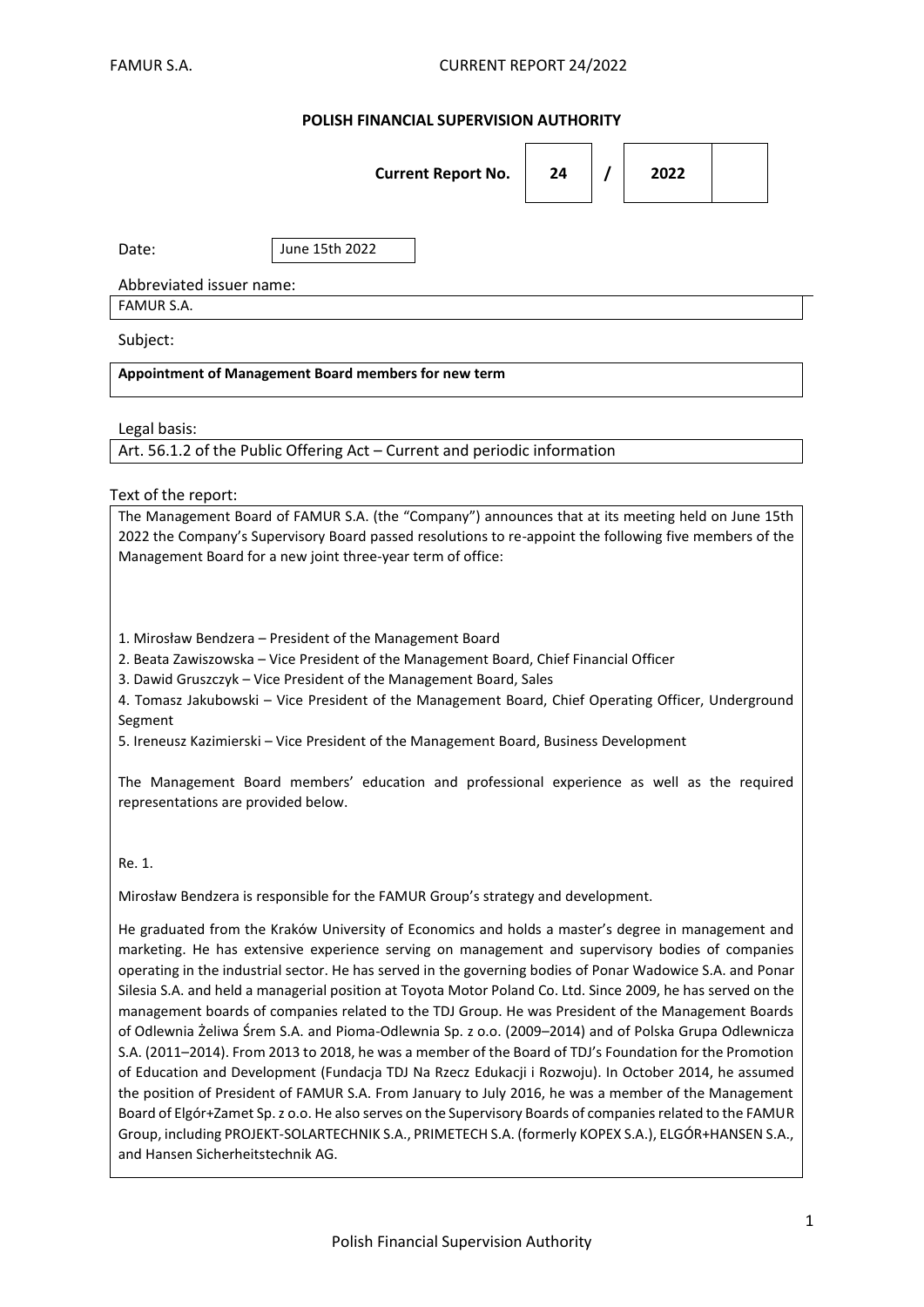## **POLISH FINANCIAL SUPERVISION AUTHORITY**

|                                                      | <b>Current Report No.</b> | 24 |  | 2022 |  |  |  |  |
|------------------------------------------------------|---------------------------|----|--|------|--|--|--|--|
| Date:                                                | June 15th 2022            |    |  |      |  |  |  |  |
| Abbreviated issuer name:                             |                           |    |  |      |  |  |  |  |
| FAMUR S.A.                                           |                           |    |  |      |  |  |  |  |
| Subject:                                             |                           |    |  |      |  |  |  |  |
| Appointment of Management Board members for new term |                           |    |  |      |  |  |  |  |
| المتممط المسمال                                      |                           |    |  |      |  |  |  |  |

Legal basis:

Art. 56.1.2 of the Public Offering Act – Current and periodic information

#### Text of the report:

The Management Board of FAMUR S.A. (the "Company") announces that at its meeting held on June 15th 2022 the Company's Supervisory Board passed resolutions to re-appoint the following five members of the Management Board for a new joint three-year term of office:

1. Mirosław Bendzera – President of the Management Board

2. Beata Zawiszowska – Vice President of the Management Board, Chief Financial Officer

3. Dawid Gruszczyk – Vice President of the Management Board, Sales

4. Tomasz Jakubowski – Vice President of the Management Board, Chief Operating Officer, Underground Segment

5. Ireneusz Kazimierski – Vice President of the Management Board, Business Development

The Management Board members' education and professional experience as well as the required representations are provided below.

Re. 1.

Mirosław Bendzera is responsible for the FAMUR Group's strategy and development.

He graduated from the Kraków University of Economics and holds a master's degree in management and marketing. He has extensive experience serving on management and supervisory bodies of companies operating in the industrial sector. He has served in the governing bodies of Ponar Wadowice S.A. and Ponar Silesia S.A. and held a managerial position at Toyota Motor Poland Co. Ltd. Since 2009, he has served on the management boards of companies related to the TDJ Group. He was President of the Management Boards of Odlewnia Żeliwa Śrem S.A. and Pioma-Odlewnia Sp. z o.o. (2009–2014) and of Polska Grupa Odlewnicza S.A. (2011–2014). From 2013 to 2018, he was a member of the Board of TDJ's Foundation for the Promotion of Education and Development (Fundacja TDJ Na Rzecz Edukacji i Rozwoju). In October 2014, he assumed the position of President of FAMUR S.A. From January to July 2016, he was a member of the Management Board of Elgór+Zamet Sp. z o.o. He also serves on the Supervisory Boards of companies related to the FAMUR Group, including PROJEKT-SOLARTECHNIK S.A., PRIMETECH S.A. (formerly KOPEX S.A.), ELGÓR+HANSEN S.A., and Hansen Sicherheitstechnik AG.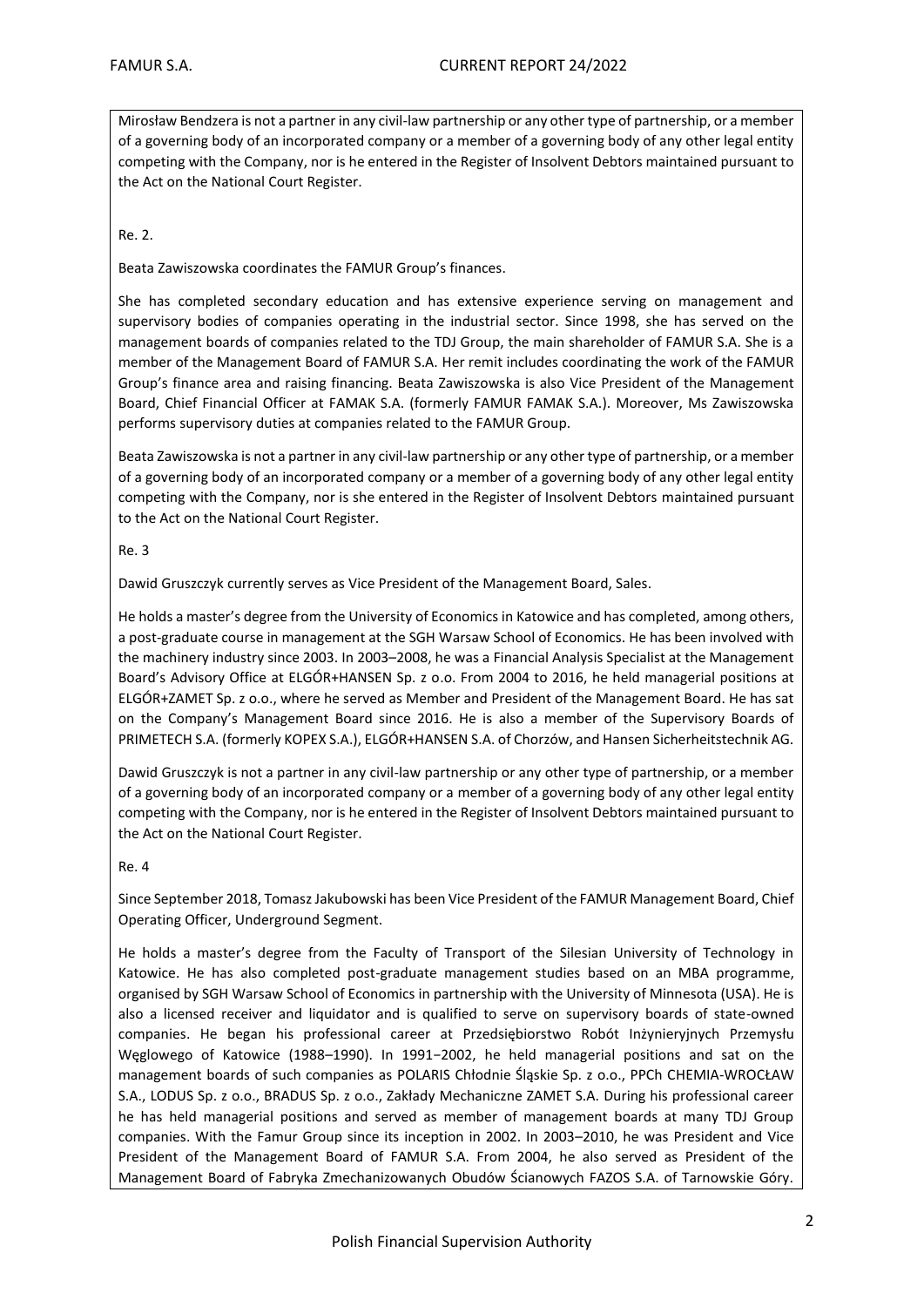Mirosław Bendzera is not a partner in any civil-law partnership or any other type of partnership, or a member of a governing body of an incorporated company or a member of a governing body of any other legal entity competing with the Company, nor is he entered in the Register of Insolvent Debtors maintained pursuant to the Act on the National Court Register.

### Re. 2.

Beata Zawiszowska coordinates the FAMUR Group's finances.

She has completed secondary education and has extensive experience serving on management and supervisory bodies of companies operating in the industrial sector. Since 1998, she has served on the management boards of companies related to the TDJ Group, the main shareholder of FAMUR S.A. She is a member of the Management Board of FAMUR S.A. Her remit includes coordinating the work of the FAMUR Group's finance area and raising financing. Beata Zawiszowska is also Vice President of the Management Board, Chief Financial Officer at FAMAK S.A. (formerly FAMUR FAMAK S.A.). Moreover, Ms Zawiszowska performs supervisory duties at companies related to the FAMUR Group.

Beata Zawiszowska is not a partner in any civil-law partnership or any other type of partnership, or a member of a governing body of an incorporated company or a member of a governing body of any other legal entity competing with the Company, nor is she entered in the Register of Insolvent Debtors maintained pursuant to the Act on the National Court Register.

#### Re. 3

Dawid Gruszczyk currently serves as Vice President of the Management Board, Sales.

He holds a master's degree from the University of Economics in Katowice and has completed, among others, a post-graduate course in management at the SGH Warsaw School of Economics. He has been involved with the machinery industry since 2003. In 2003–2008, he was a Financial Analysis Specialist at the Management Board's Advisory Office at ELGÓR+HANSEN Sp. z o.o. From 2004 to 2016, he held managerial positions at ELGÓR+ZAMET Sp. z o.o., where he served as Member and President of the Management Board. He has sat on the Company's Management Board since 2016. He is also a member of the Supervisory Boards of PRIMETECH S.A. (formerly KOPEX S.A.), ELGÓR+HANSEN S.A. of Chorzów, and Hansen Sicherheitstechnik AG.

Dawid Gruszczyk is not a partner in any civil-law partnership or any other type of partnership, or a member of a governing body of an incorporated company or a member of a governing body of any other legal entity competing with the Company, nor is he entered in the Register of Insolvent Debtors maintained pursuant to the Act on the National Court Register.

#### Re. 4

Since September 2018, Tomasz Jakubowski has been Vice President of the FAMUR Management Board, Chief Operating Officer, Underground Segment.

He holds a master's degree from the Faculty of Transport of the Silesian University of Technology in Katowice. He has also completed post-graduate management studies based on an MBA programme, organised by SGH Warsaw School of Economics in partnership with the University of Minnesota (USA). He is also a licensed receiver and liquidator and is qualified to serve on supervisory boards of state-owned companies. He began his professional career at Przedsiębiorstwo Robót Inżynieryjnych Przemysłu Węglowego of Katowice (1988–1990). In 1991−2002, he held managerial positions and sat on the management boards of such companies as POLARIS Chłodnie Śląskie Sp. z o.o., PPCh CHEMIA-WROCŁAW S.A., LODUS Sp. z o.o., BRADUS Sp. z o.o., Zakłady Mechaniczne ZAMET S.A. During his professional career he has held managerial positions and served as member of management boards at many TDJ Group companies. With the Famur Group since its inception in 2002. In 2003–2010, he was President and Vice President of the Management Board of FAMUR S.A. From 2004, he also served as President of the Management Board of Fabryka Zmechanizowanych Obudów Ścianowych FAZOS S.A. of Tarnowskie Góry.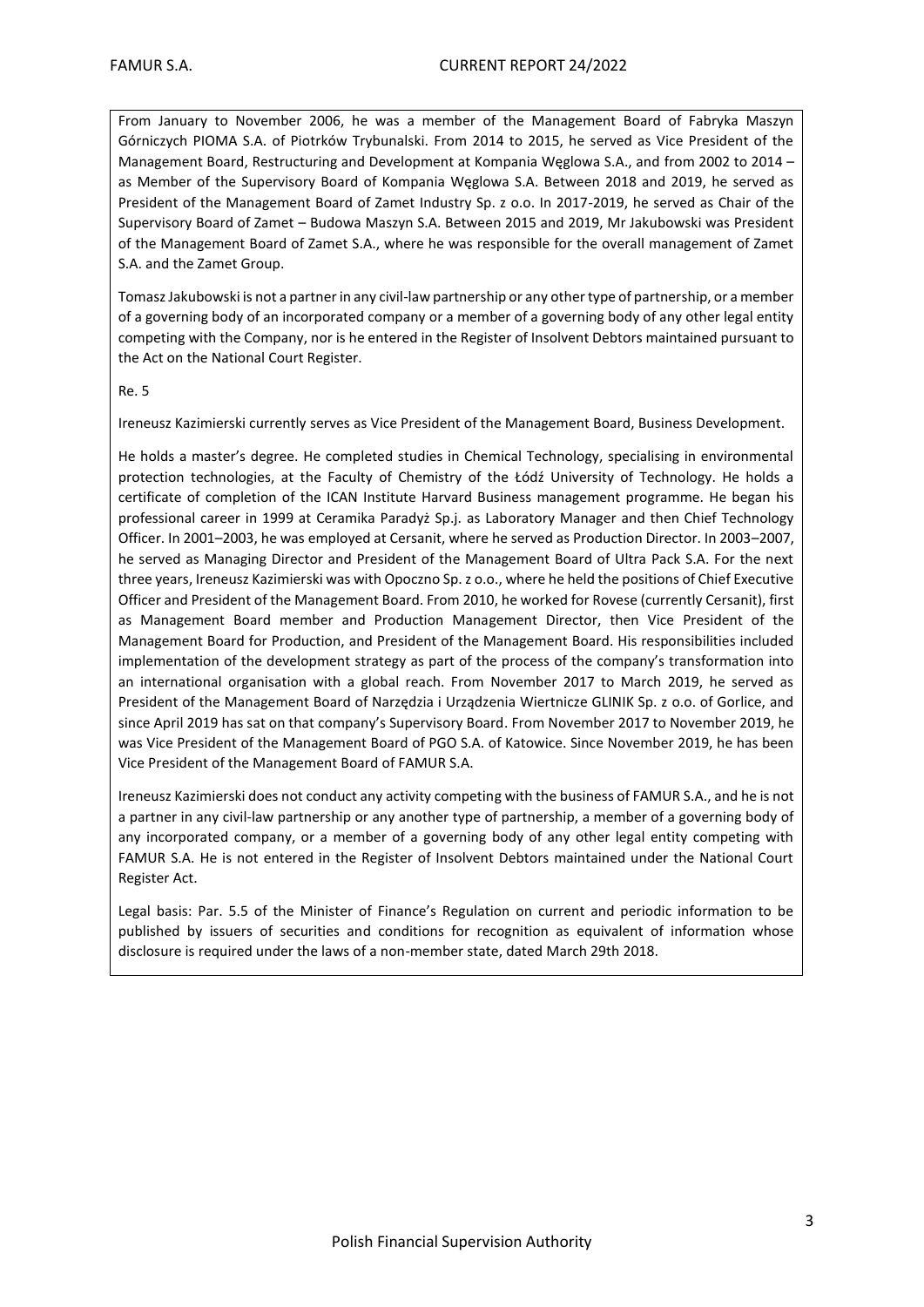From January to November 2006, he was a member of the Management Board of Fabryka Maszyn Górniczych PIOMA S.A. of Piotrków Trybunalski. From 2014 to 2015, he served as Vice President of the Management Board, Restructuring and Development at Kompania Węglowa S.A., and from 2002 to 2014 – as Member of the Supervisory Board of Kompania Węglowa S.A. Between 2018 and 2019, he served as President of the Management Board of Zamet Industry Sp. z o.o. In 2017-2019, he served as Chair of the Supervisory Board of Zamet – Budowa Maszyn S.A. Between 2015 and 2019, Mr Jakubowski was President of the Management Board of Zamet S.A., where he was responsible for the overall management of Zamet S.A. and the Zamet Group.

Tomasz Jakubowski is not a partner in any civil-law partnership or any other type of partnership, or a member of a governing body of an incorporated company or a member of a governing body of any other legal entity competing with the Company, nor is he entered in the Register of Insolvent Debtors maintained pursuant to the Act on the National Court Register.

#### Re. 5

Ireneusz Kazimierski currently serves as Vice President of the Management Board, Business Development.

He holds a master's degree. He completed studies in Chemical Technology, specialising in environmental protection technologies, at the Faculty of Chemistry of the Łódź University of Technology. He holds a certificate of completion of the ICAN Institute Harvard Business management programme. He began his professional career in 1999 at Ceramika Paradyż Sp.j. as Laboratory Manager and then Chief Technology Officer. In 2001–2003, he was employed at Cersanit, where he served as Production Director. In 2003–2007, he served as Managing Director and President of the Management Board of Ultra Pack S.A. For the next three years, Ireneusz Kazimierski was with Opoczno Sp. z o.o., where he held the positions of Chief Executive Officer and President of the Management Board. From 2010, he worked for Rovese (currently Cersanit), first as Management Board member and Production Management Director, then Vice President of the Management Board for Production, and President of the Management Board. His responsibilities included implementation of the development strategy as part of the process of the company's transformation into an international organisation with a global reach. From November 2017 to March 2019, he served as President of the Management Board of Narzędzia i Urządzenia Wiertnicze GLINIK Sp. z o.o. of Gorlice, and since April 2019 has sat on that company's Supervisory Board. From November 2017 to November 2019, he was Vice President of the Management Board of PGO S.A. of Katowice. Since November 2019, he has been Vice President of the Management Board of FAMUR S.A.

Ireneusz Kazimierski does not conduct any activity competing with the business of FAMUR S.A., and he is not a partner in any civil-law partnership or any another type of partnership, a member of a governing body of any incorporated company, or a member of a governing body of any other legal entity competing with FAMUR S.A. He is not entered in the Register of Insolvent Debtors maintained under the National Court Register Act.

Legal basis: Par. 5.5 of the Minister of Finance's Regulation on current and periodic information to be published by issuers of securities and conditions for recognition as equivalent of information whose disclosure is required under the laws of a non-member state, dated March 29th 2018.